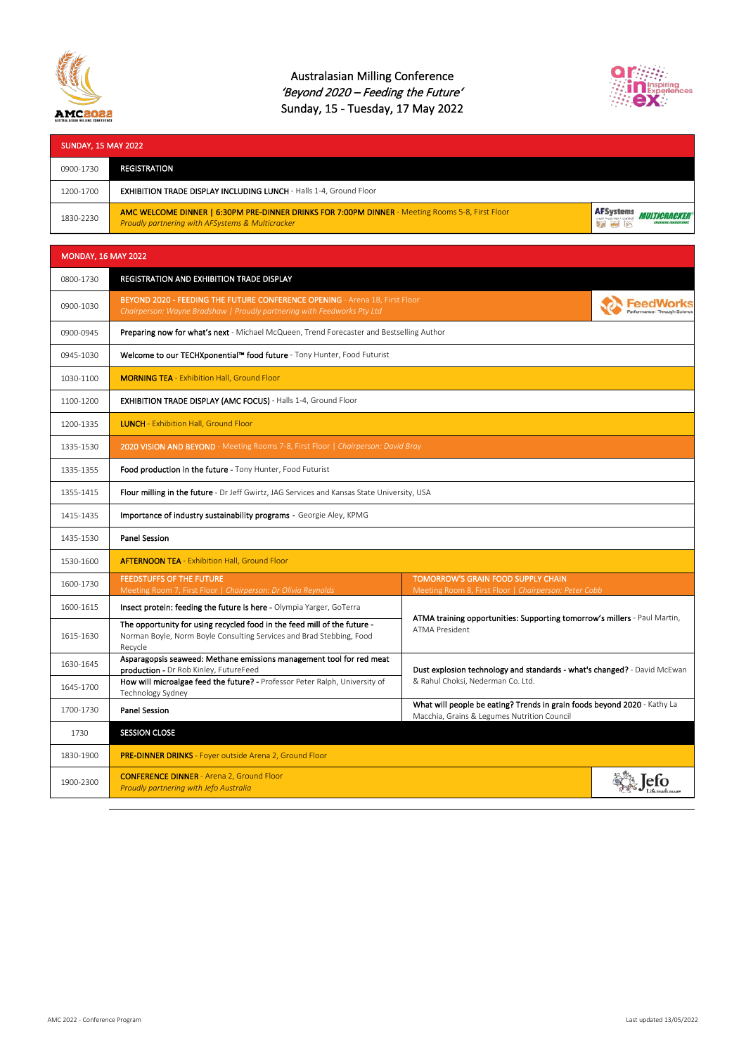

## Australasian Milling Conference 'Beyond 2020 – Feeding the Future' Sunday, 15 - Tuesday, 17 May 2022



| <b>SUNDAY, 15 MAY 2022</b> |                                                                                                                                                                                                 |                                                                                                                         |      |  |
|----------------------------|-------------------------------------------------------------------------------------------------------------------------------------------------------------------------------------------------|-------------------------------------------------------------------------------------------------------------------------|------|--|
| 0900-1730                  | <b>REGISTRATION</b>                                                                                                                                                                             |                                                                                                                         |      |  |
| 1200-1700                  | <b>EXHIBITION TRADE DISPLAY INCLUDING LUNCH - Halls 1-4, Ground Floor</b>                                                                                                                       |                                                                                                                         |      |  |
| 1830-2230                  | <b>AFSystems</b><br>AMC WELCOME DINNER   6:30PM PRE-DINNER DRINKS FOR 7:00PM DINNER - Meeting Rooms 5-8, First Floor<br><i>Multicracker</i><br>Proudly partnering with AFSystems & Multicracker |                                                                                                                         |      |  |
| <b>MONDAY, 16 MAY 2022</b> |                                                                                                                                                                                                 |                                                                                                                         |      |  |
| 0800-1730                  | REGISTRATION AND EXHIBITION TRADE DISPLAY                                                                                                                                                       |                                                                                                                         |      |  |
| 0900-1030                  | BEYOND 2020 - FEEDING THE FUTURE CONFERENCE OPENING - Arena 1B, First Floor<br>Chairperson: Wayne Bradshaw   Proudly partnering with Feedworks Pty Ltd                                          |                                                                                                                         |      |  |
| 0900-0945                  | Preparing now for what's next - Michael McQueen, Trend Forecaster and Bestselling Author                                                                                                        |                                                                                                                         |      |  |
| 0945-1030                  | Welcome to our TECHXponential™ food future - Tony Hunter, Food Futurist                                                                                                                         |                                                                                                                         |      |  |
| 1030-1100                  | <b>MORNING TEA</b> - Exhibition Hall, Ground Floor                                                                                                                                              |                                                                                                                         |      |  |
| 1100-1200                  | EXHIBITION TRADE DISPLAY (AMC FOCUS) - Halls 1-4, Ground Floor                                                                                                                                  |                                                                                                                         |      |  |
| 1200-1335                  | <b>LUNCH</b> - Exhibition Hall, Ground Floor                                                                                                                                                    |                                                                                                                         |      |  |
| 1335-1530                  | 2020 VISION AND BEYOND - Meeting Rooms 7-8, First Floor   Chairperson: David Bray                                                                                                               |                                                                                                                         |      |  |
| 1335-1355                  | Food production in the future - Tony Hunter, Food Futurist                                                                                                                                      |                                                                                                                         |      |  |
| 1355-1415                  | Flour milling in the future - Dr Jeff Gwirtz, JAG Services and Kansas State University, USA                                                                                                     |                                                                                                                         |      |  |
| 1415-1435                  | Importance of industry sustainability programs - Georgie Aley, KPMG                                                                                                                             |                                                                                                                         |      |  |
| 1435-1530                  | <b>Panel Session</b>                                                                                                                                                                            |                                                                                                                         |      |  |
| 1530-1600                  | <b>AFTERNOON TEA - Exhibition Hall, Ground Floor</b>                                                                                                                                            |                                                                                                                         |      |  |
| 1600-1730                  | <b>FEEDSTUFFS OF THE FUTURE</b><br>Meeting Room 7, First Floor   Chairperson: Dr Olivia Reynolds                                                                                                | TOMORROW'S GRAIN FOOD SUPPLY CHAIN<br>Meeting Room 8, First Floor   Chairperson: Peter Cobb                             |      |  |
| 1600-1615                  | Insect protein: feeding the future is here - Olympia Yarger, GoTerra                                                                                                                            | ATMA training opportunities: Supporting tomorrow's millers - Paul Martin,<br><b>ATMA President</b>                      |      |  |
| 1615-1630                  | The opportunity for using recycled food in the feed mill of the future -<br>Norman Boyle, Norm Boyle Consulting Services and Brad Stebbing, Food<br>Recycle                                     |                                                                                                                         |      |  |
| 1630-1645                  | Asparagopsis seaweed: Methane emissions management tool for red meat<br>production - Dr Rob Kinley, FutureFeed                                                                                  | Dust explosion technology and standards - what's changed? - David McEwan<br>& Rahul Choksi, Nederman Co. Ltd.           |      |  |
| 1645-1700                  | How will microalgae feed the future? - Professor Peter Ralph, University of<br>Technology Sydney                                                                                                |                                                                                                                         |      |  |
| 1700-1730                  | Panel Session                                                                                                                                                                                   | What will people be eating? Trends in grain foods beyond 2020 - Kathy La<br>Macchia, Grains & Legumes Nutrition Council |      |  |
| 1730                       | <b>SESSION CLOSE</b>                                                                                                                                                                            |                                                                                                                         |      |  |
| 1830-1900                  | PRE-DINNER DRINKS - Foyer outside Arena 2, Ground Floor                                                                                                                                         |                                                                                                                         |      |  |
| 1900-2300                  | <b>CONFERENCE DINNER</b> - Arena 2, Ground Floor<br>Proudly partnering with Jefo Australia                                                                                                      |                                                                                                                         | etco |  |